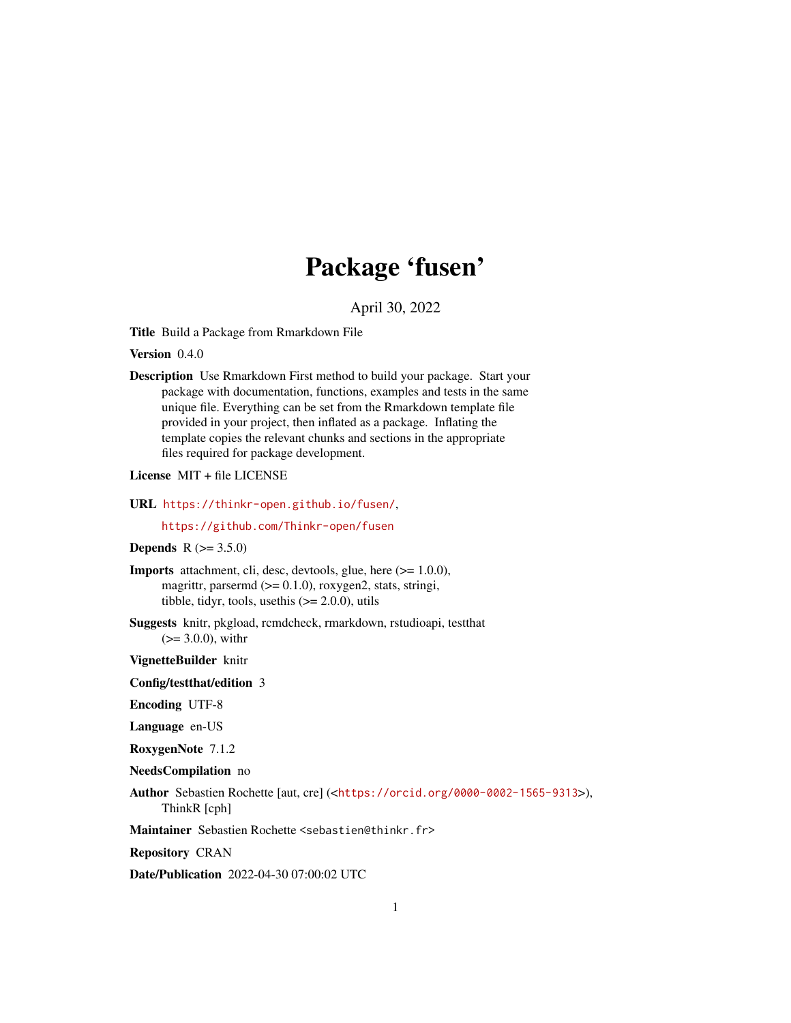## Package 'fusen'

April 30, 2022

<span id="page-0-0"></span>Title Build a Package from Rmarkdown File

Version 0.4.0

Description Use Rmarkdown First method to build your package. Start your package with documentation, functions, examples and tests in the same unique file. Everything can be set from the Rmarkdown template file provided in your project, then inflated as a package. Inflating the template copies the relevant chunks and sections in the appropriate files required for package development.

#### License MIT + file LICENSE

#### URL <https://thinkr-open.github.io/fusen/>,

<https://github.com/Thinkr-open/fusen>

#### **Depends** R  $(>= 3.5.0)$

Imports attachment, cli, desc, devtools, glue, here (>= 1.0.0), magrittr, parsermd  $(>= 0.1.0)$ , roxygen2, stats, stringi, tibble, tidyr, tools, usethis  $(>= 2.0.0)$ , utils

Suggests knitr, pkgload, rcmdcheck, rmarkdown, rstudioapi, testthat  $(>= 3.0.0)$ , with r

VignetteBuilder knitr

#### Config/testthat/edition 3

Encoding UTF-8

Language en-US

RoxygenNote 7.1.2

#### NeedsCompilation no

Author Sebastien Rochette [aut, cre] (<<https://orcid.org/0000-0002-1565-9313>>), ThinkR [cph]

Maintainer Sebastien Rochette <sebastien@thinkr.fr>

Repository CRAN

Date/Publication 2022-04-30 07:00:02 UTC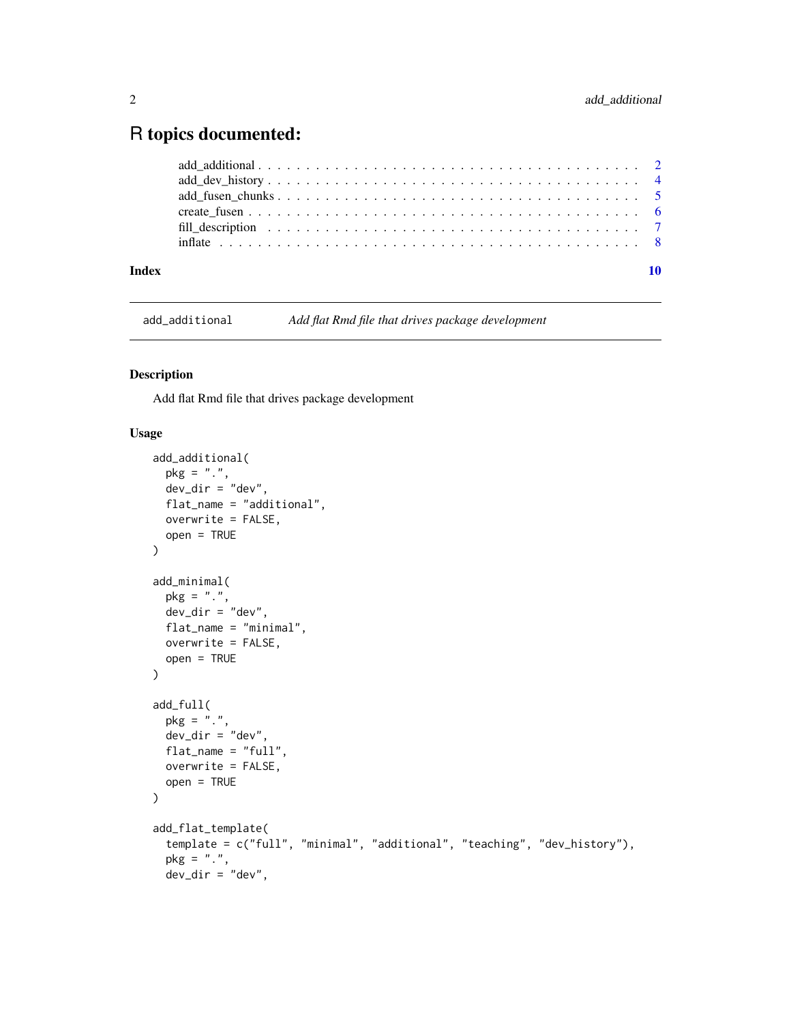### <span id="page-1-0"></span>R topics documented:

| Index |  |
|-------|--|
|       |  |
|       |  |
|       |  |
|       |  |
|       |  |
|       |  |

add\_additional *Add flat Rmd file that drives package development*

#### <span id="page-1-1"></span>Description

Add flat Rmd file that drives package development

#### Usage

```
add_additional(
 pkg = "."dev_dir = "dev",
 flat_name = "additional",
 overwrite = FALSE,
 open = TRUE\mathcal{L}add_minimal(
 pkg = "."dev\_dir = "dev",flat_name = "minimal",
 overwrite = FALSE,
 open = TRUE
\mathcal{L}add_full(
 pkg = "."dev_dir = "dev",
 flat_name = "full",
 overwrite = FALSE,
 open = TRUE
\lambdaadd_flat_template(
  template = c("full", "minimal", "additional", "teaching", "dev_history"),
  pkg = "."dev\_dir = "dev",
```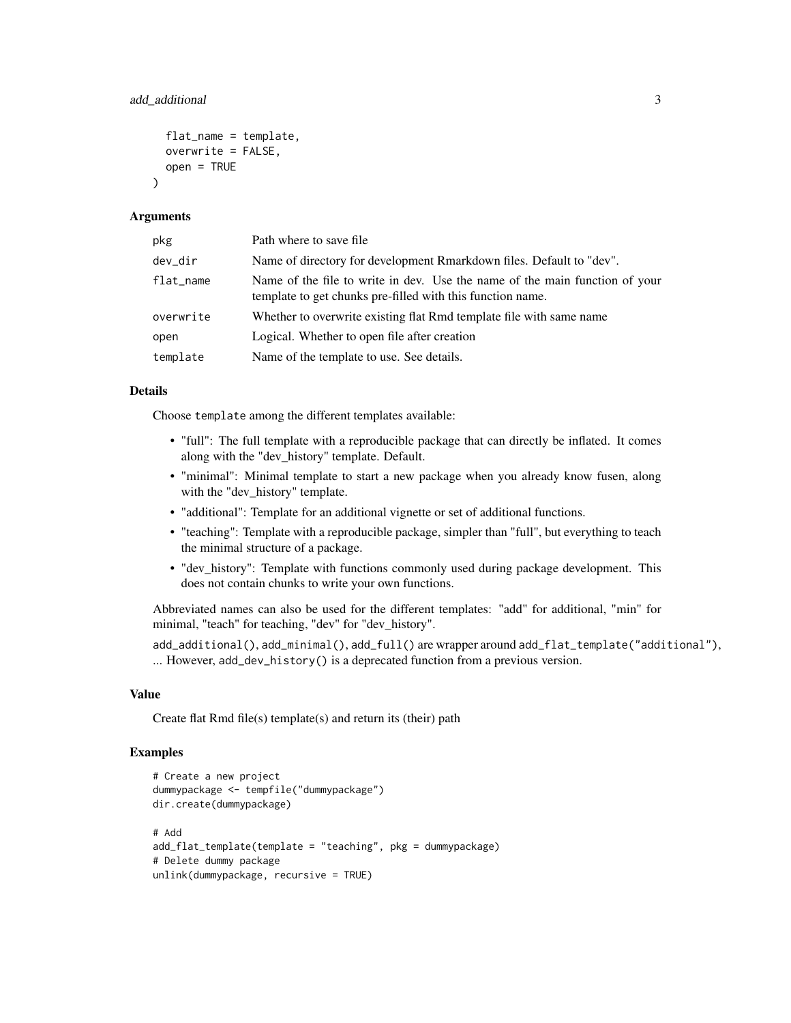```
flat_name = template,
overwrite = FALSE,
open = TRUE
```
#### **Arguments**

 $\lambda$ 

| pkg       | Path where to save file.                                                                                                                  |
|-----------|-------------------------------------------------------------------------------------------------------------------------------------------|
| dev_dir   | Name of directory for development Rmarkdown files. Default to "dev".                                                                      |
| flat_name | Name of the file to write in dev. Use the name of the main function of your<br>template to get chunks pre-filled with this function name. |
| overwrite | Whether to overwrite existing flat Rmd template file with same name                                                                       |
| open      | Logical. Whether to open file after creation                                                                                              |
| template  | Name of the template to use. See details.                                                                                                 |

#### Details

Choose template among the different templates available:

- "full": The full template with a reproducible package that can directly be inflated. It comes along with the "dev\_history" template. Default.
- "minimal": Minimal template to start a new package when you already know fusen, along with the "dev\_history" template.
- "additional": Template for an additional vignette or set of additional functions.
- "teaching": Template with a reproducible package, simpler than "full", but everything to teach the minimal structure of a package.
- "dev\_history": Template with functions commonly used during package development. This does not contain chunks to write your own functions.

Abbreviated names can also be used for the different templates: "add" for additional, "min" for minimal, "teach" for teaching, "dev" for "dev\_history".

add\_additional(), add\_minimal(), add\_full() are wrapper around add\_flat\_template("additional"), ... However, add\_dev\_history() is a deprecated function from a previous version.

#### Value

Create flat Rmd file(s) template(s) and return its (their) path

```
# Create a new project
dummypackage <- tempfile("dummypackage")
dir.create(dummypackage)
# Add
add_flat_template(template = "teaching", pkg = dummypackage)
# Delete dummy package
unlink(dummypackage, recursive = TRUE)
```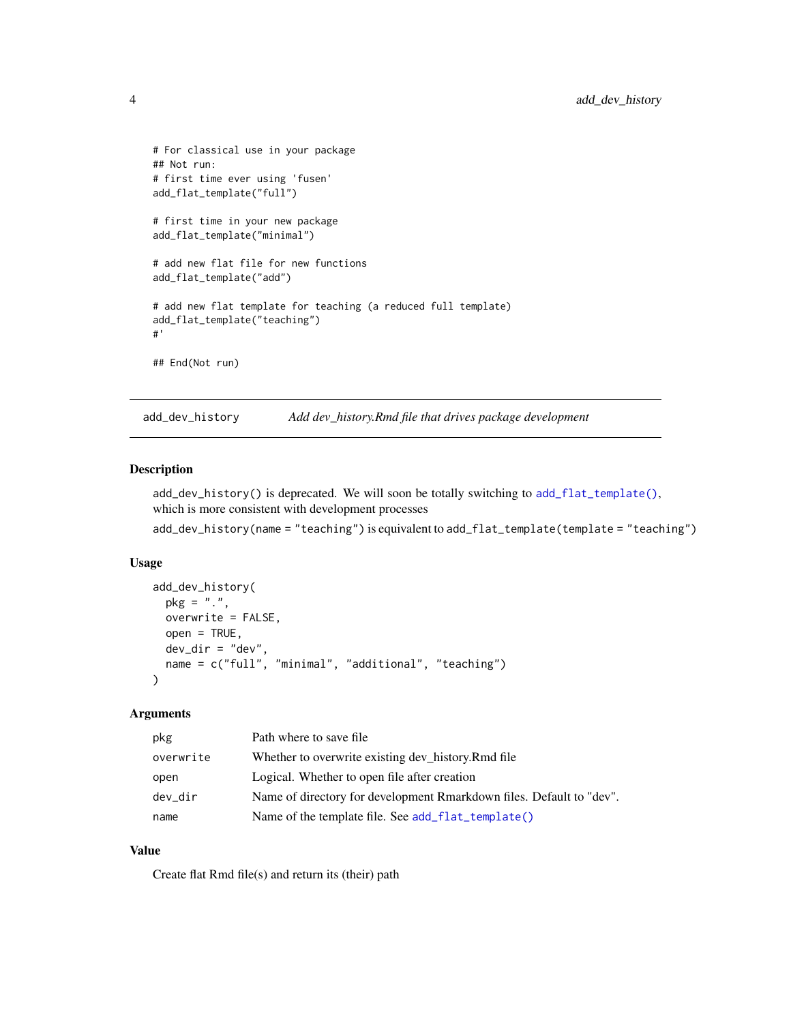```
# For classical use in your package
## Not run:
# first time ever using 'fusen'
add_flat_template("full")
# first time in your new package
add_flat_template("minimal")
# add new flat file for new functions
add_flat_template("add")
# add new flat template for teaching (a reduced full template)
add_flat_template("teaching")
#'
## End(Not run)
```
add\_dev\_history *Add dev\_history.Rmd file that drives package development*

#### Description

add\_dev\_history() is deprecated. We will soon be totally switching to [add\\_flat\\_template\(\)](#page-1-1), which is more consistent with development processes

add\_dev\_history(name = "teaching") is equivalent to add\_flat\_template(template = "teaching")

#### Usage

```
add_dev_history(
 pkg = "."overwrite = FALSE,
 open = TRUE,dev_dir = "dev",
 name = c("full", "minimal", "additional", "teaching")
)
```
#### Arguments

| pkg       | Path where to save file                                              |
|-----------|----------------------------------------------------------------------|
| overwrite | Whether to overwrite existing dev_history.Rmd file                   |
| open      | Logical. Whether to open file after creation                         |
| dev_dir   | Name of directory for development Rmarkdown files. Default to "dev". |
| name      | Name of the template file. See add_flat_template()                   |

#### Value

Create flat Rmd file(s) and return its (their) path

<span id="page-3-0"></span>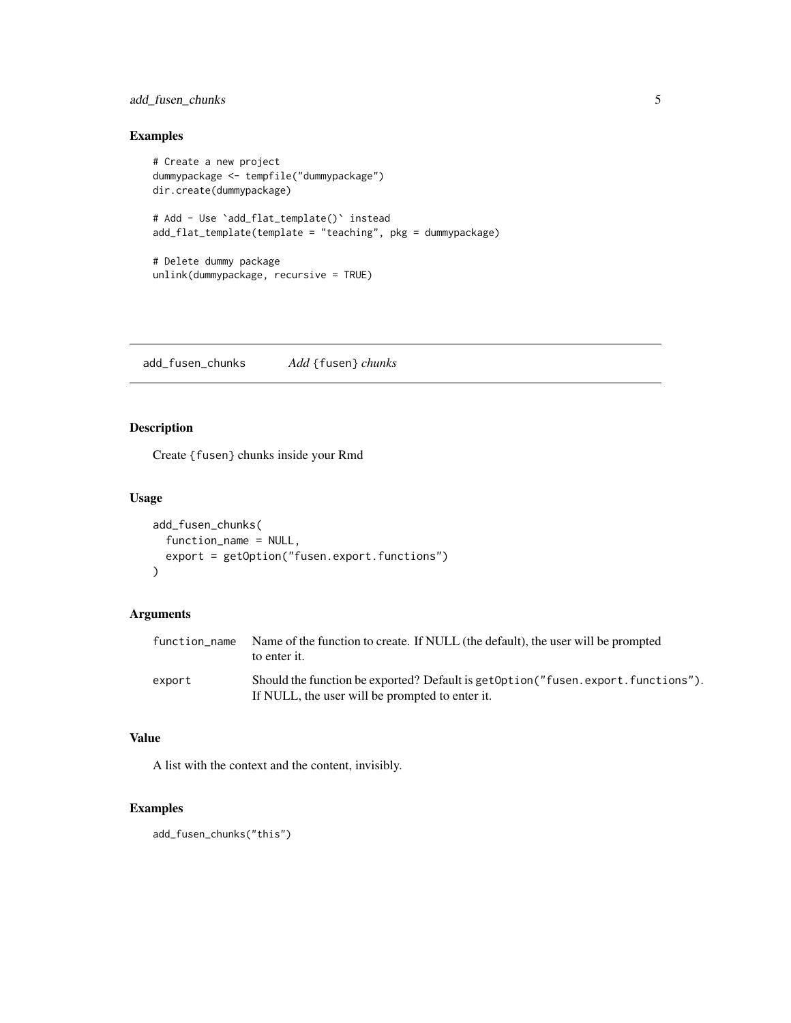#### <span id="page-4-0"></span>add\_fusen\_chunks 5

#### Examples

```
# Create a new project
dummypackage <- tempfile("dummypackage")
dir.create(dummypackage)
# Add - Use `add_flat_template()` instead
add_flat_template(template = "teaching", pkg = dummypackage)
# Delete dummy package
unlink(dummypackage, recursive = TRUE)
```
add\_fusen\_chunks *Add* {fusen} *chunks*

#### Description

Create {fusen} chunks inside your Rmd

#### Usage

```
add_fusen_chunks(
  function_name = NULL,
  export = getOption("fusen.export.functions")
\mathcal{L}
```
#### Arguments

| function name | Name of the function to create. If NULL (the default), the user will be prompted<br>to enter it.                                    |
|---------------|-------------------------------------------------------------------------------------------------------------------------------------|
| export        | Should the function be exported? Default is get0ption("fusen.export.functions").<br>If NULL, the user will be prompted to enter it. |

#### Value

A list with the context and the content, invisibly.

```
add_fusen_chunks("this")
```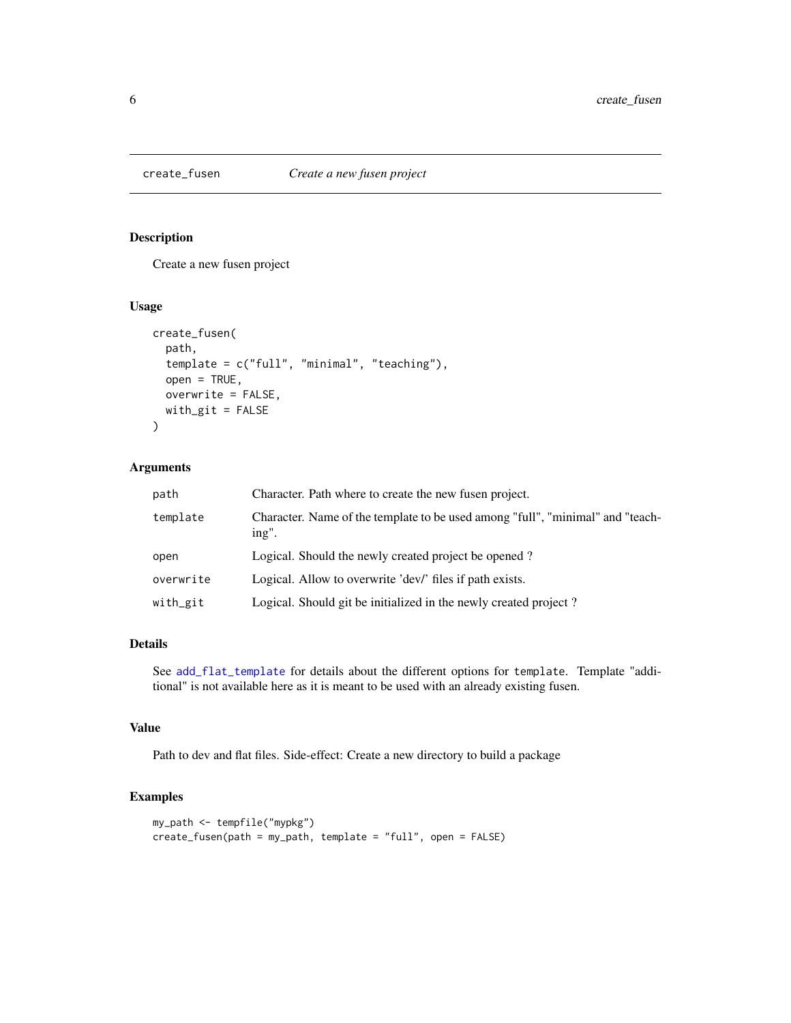<span id="page-5-0"></span>

#### Description

Create a new fusen project

#### Usage

```
create_fusen(
  path,
  template = c("full", "minimal", "teaching"),
  open = TRUE,overwrite = FALSE,
 with_git = FALSE
\mathcal{L}
```
#### Arguments

| path      | Character. Path where to create the new fusen project.                                  |
|-----------|-----------------------------------------------------------------------------------------|
| template  | Character. Name of the template to be used among "full", "minimal" and "teach-<br>ing". |
| open      | Logical. Should the newly created project be opened?                                    |
| overwrite | Logical. Allow to overwrite 'dev' files if path exists.                                 |
| with_git  | Logical. Should git be initialized in the newly created project?                        |

#### Details

See [add\\_flat\\_template](#page-1-1) for details about the different options for template. Template "additional" is not available here as it is meant to be used with an already existing fusen.

#### Value

Path to dev and flat files. Side-effect: Create a new directory to build a package

```
my_path <- tempfile("mypkg")
create_fusen(path = my_path, template = "full", open = FALSE)
```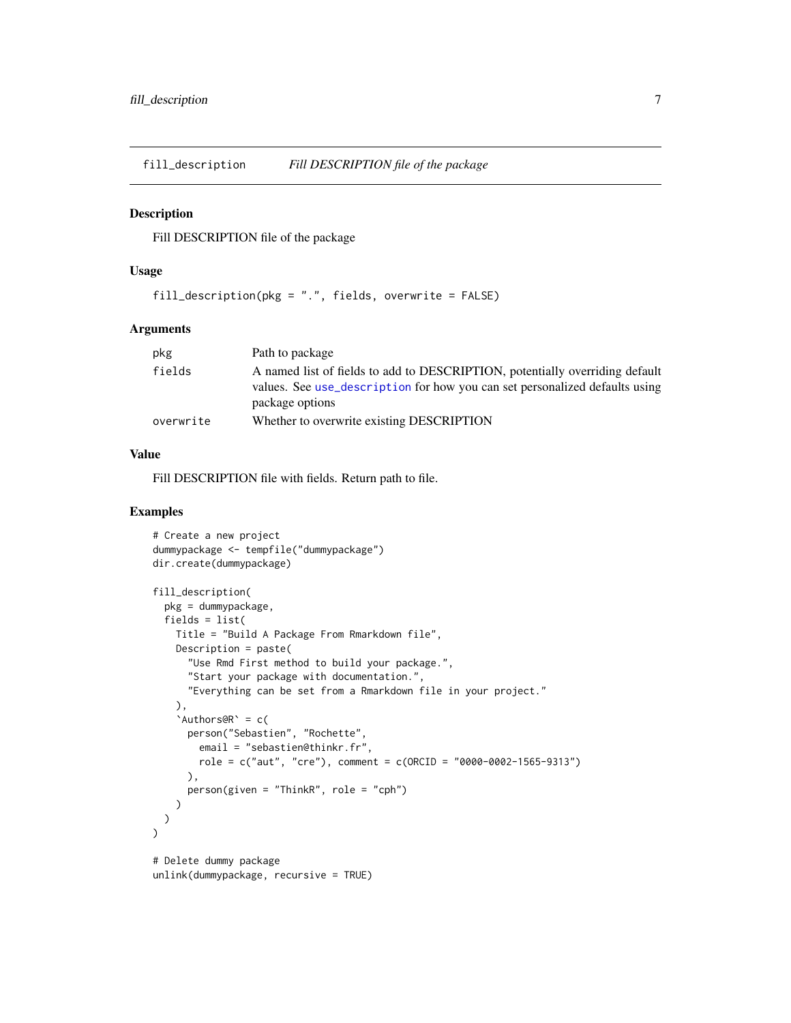<span id="page-6-0"></span>fill\_description *Fill DESCRIPTION file of the package*

#### Description

Fill DESCRIPTION file of the package

#### Usage

fill\_description(pkg = ".", fields, overwrite = FALSE)

#### Arguments

| pkg       | Path to package                                                                                                                                                                |
|-----------|--------------------------------------------------------------------------------------------------------------------------------------------------------------------------------|
| fields    | A named list of fields to add to DESCRIPTION, potentially overriding default<br>values. See use_description for how you can set personalized defaults using<br>package options |
| overwrite | Whether to overwrite existing DESCRIPTION                                                                                                                                      |

#### Value

Fill DESCRIPTION file with fields. Return path to file.

```
# Create a new project
dummypackage <- tempfile("dummypackage")
dir.create(dummypackage)
fill_description(
 pkg = dummypackage,
 fields = list(
   Title = "Build A Package From Rmarkdown file",
   Description = paste(
     "Use Rmd First method to build your package.",
     "Start your package with documentation.",
     "Everything can be set from a Rmarkdown file in your project."
   ),
    'Authors@R' = c(
     person("Sebastien", "Rochette",
       email = "sebastien@thinkr.fr",
       role = c("aut", "cre"), comment = c(ORCID = "0000-0002-1565-9313")),
     person(given = "ThinkR", role = "cph")
   )
 )
\lambda# Delete dummy package
unlink(dummypackage, recursive = TRUE)
```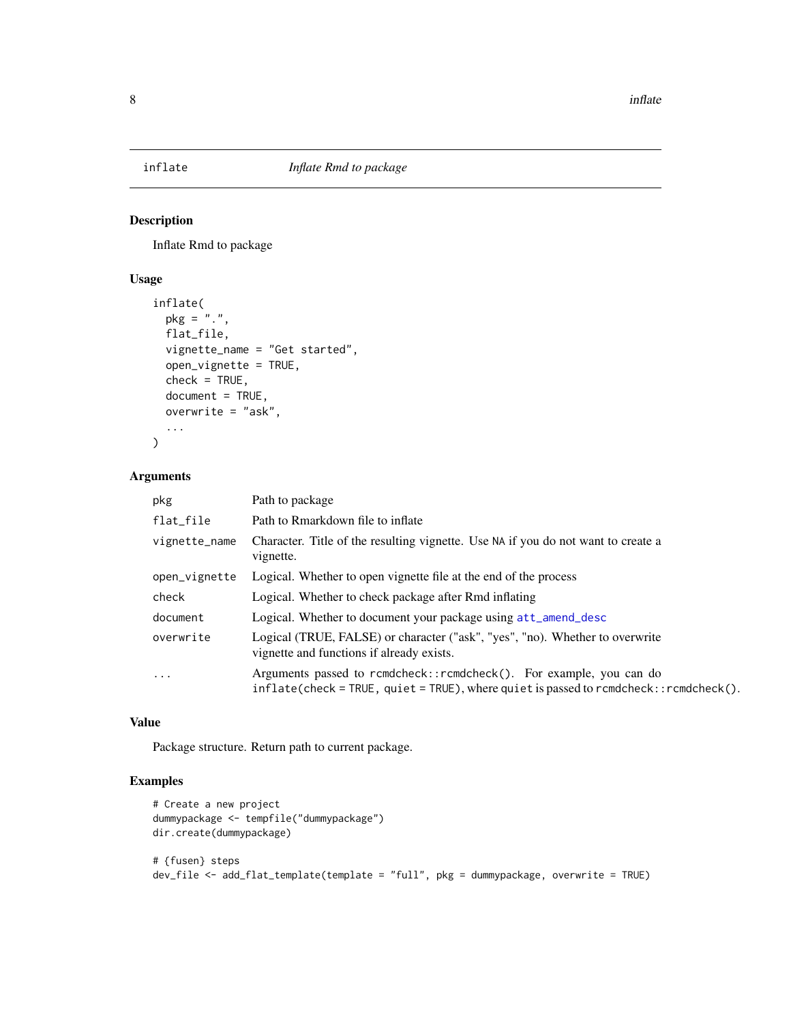<span id="page-7-0"></span>

#### Description

Inflate Rmd to package

#### Usage

```
inflate(
 pkg = "."flat_file,
 vignette_name = "Get started",
 open_vignette = TRUE,
 check = TRUE,
 document = TRUE,overwrite = "ask",
  ...
)
```
#### Arguments

| pkg           | Path to package                                                                                                                                              |
|---------------|--------------------------------------------------------------------------------------------------------------------------------------------------------------|
| flat_file     | Path to Rmarkdown file to inflate                                                                                                                            |
| vignette_name | Character. Title of the resulting vignette. Use NA if you do not want to create a<br>vignette.                                                               |
| open_vignette | Logical. Whether to open vignette file at the end of the process                                                                                             |
| check         | Logical. Whether to check package after Rmd inflating                                                                                                        |
| document      | Logical. Whether to document your package using att_amend_desc                                                                                               |
| overwrite     | Logical (TRUE, FALSE) or character ("ask", "yes", "no). Whether to overwrite<br>vignette and functions if already exists.                                    |
| $\cdot$       | Arguments passed to rcmdcheck::rcmdcheck(). For example, you can do<br>inflate(check = TRUE, quiet = TRUE), where quiet is passed to rcmdcheck::rcmdcheck(). |

#### Value

Package structure. Return path to current package.

```
# Create a new project
dummypackage <- tempfile("dummypackage")
dir.create(dummypackage)
# {fusen} steps
dev_file <- add_flat_template(template = "full", pkg = dummypackage, overwrite = TRUE)
```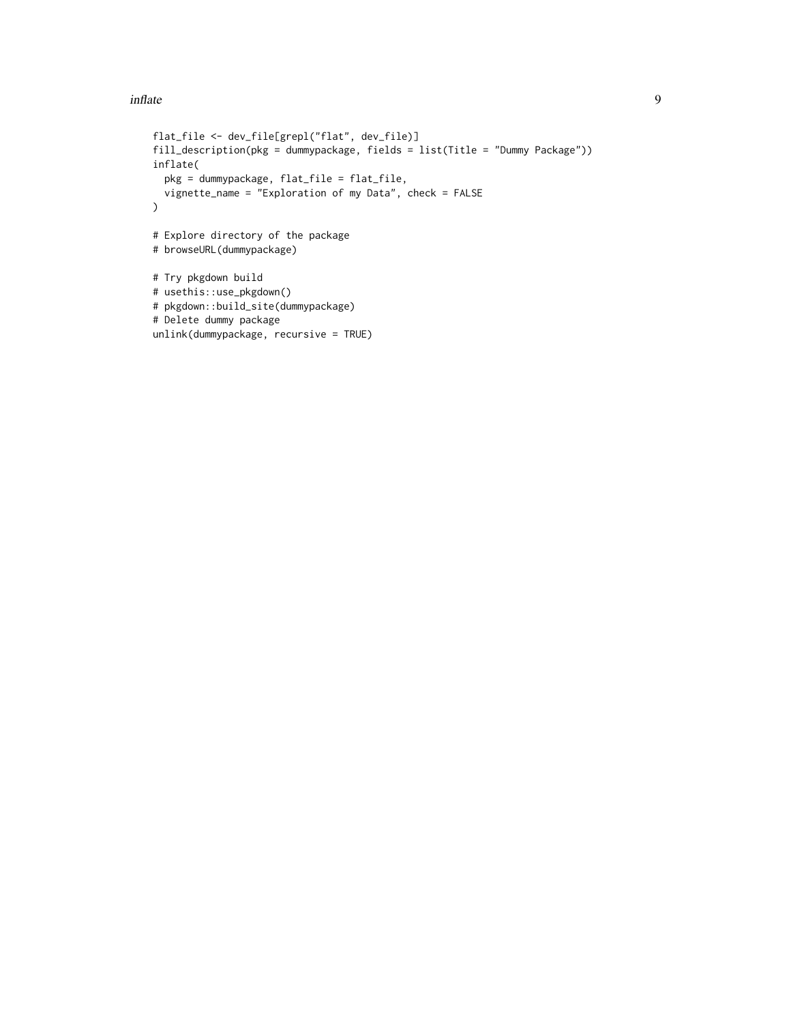#### inflate 9

```
flat_file <- dev_file[grepl("flat", dev_file)]
fill_description(pkg = dummypackage, fields = list(Title = "Dummy Package"))
inflate(
 pkg = dummypackage, flat_file = flat_file,
  vignette_name = "Exploration of my Data", check = FALSE
\mathcal{L}# Explore directory of the package
# browseURL(dummypackage)
# Try pkgdown build
# usethis::use_pkgdown()
# pkgdown::build_site(dummypackage)
# Delete dummy package
unlink(dummypackage, recursive = TRUE)
```